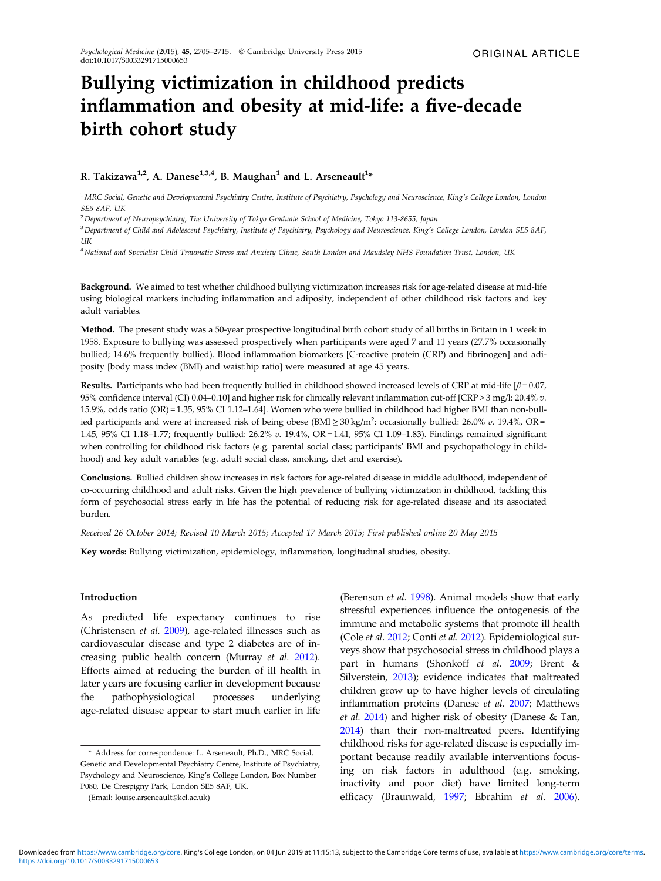# Bullying victimization in childhood predicts inflammation and obesity at mid-life: a five-decade birth cohort study

# R. Takizawa $^{1,2}$ , A. Danese $^{1,3,4}$ , B. Maughan $^1$  and L. Arseneault $^{1\ast}$

<sup>1</sup> MRC Social, Genetic and Developmental Psychiatry Centre, Institute of Psychiatry, Psychology and Neuroscience, King's College London, London SE5 8AF, UK

<sup>2</sup> Department of Neuropsychiatry, The University of Tokyo Graduate School of Medicine, Tokyo 113-8655, Japan

<sup>3</sup> Department of Child and Adolescent Psychiatry, Institute of Psychiatry, Psychology and Neuroscience, King's College London, London SE5 8AF,  $11K$ 

<sup>4</sup>National and Specialist Child Traumatic Stress and Anxiety Clinic, South London and Maudsley NHS Foundation Trust, London, UK

Background. We aimed to test whether childhood bullying victimization increases risk for age-related disease at mid-life using biological markers including inflammation and adiposity, independent of other childhood risk factors and key adult variables.

Method. The present study was a 50-year prospective longitudinal birth cohort study of all births in Britain in 1 week in 1958. Exposure to bullying was assessed prospectively when participants were aged 7 and 11 years (27.7% occasionally bullied; 14.6% frequently bullied). Blood inflammation biomarkers [C-reactive protein (CRP) and fibrinogen] and adiposity [body mass index (BMI) and waist:hip ratio] were measured at age 45 years.

Results. Participants who had been frequently bullied in childhood showed increased levels of CRP at mid-life  $\beta$  = 0.07, 95% confidence interval (CI) 0.04–0.10] and higher risk for clinically relevant inflammation cut-off [CRP > 3 mg/l: 20.4% v. 15.9%, odds ratio (OR) = 1.35, 95% CI 1.12–1.64]. Women who were bullied in childhood had higher BMI than non-bullied participants and were at increased risk of being obese (BMI ≥ 30 kg/m<sup>2</sup>: occasionally bullied: 26.0% v. 19.4%, OR= 1.45, 95% CI 1.18–1.77; frequently bullied: 26.2% v. 19.4%, OR = 1.41, 95% CI 1.09–1.83). Findings remained significant when controlling for childhood risk factors (e.g. parental social class; participants' BMI and psychopathology in childhood) and key adult variables (e.g. adult social class, smoking, diet and exercise).

Conclusions. Bullied children show increases in risk factors for age-related disease in middle adulthood, independent of co-occurring childhood and adult risks. Given the high prevalence of bullying victimization in childhood, tackling this form of psychosocial stress early in life has the potential of reducing risk for age-related disease and its associated burden.

Received 26 October 2014; Revised 10 March 2015; Accepted 17 March 2015; First published online 20 May 2015

Key words: Bullying victimization, epidemiology, inflammation, longitudinal studies, obesity.

## Introduction

As predicted life expectancy continues to rise (Christensen et al. [2009](#page-8-0)), age-related illnesses such as cardiovascular disease and type 2 diabetes are of increasing public health concern (Murray et al. [2012](#page-9-0)). Efforts aimed at reducing the burden of ill health in later years are focusing earlier in development because the pathophysiological processes underlying age-related disease appear to start much earlier in life

(Email: louise.arseneault@kcl.ac.uk)

(Berenson et al. [1998\)](#page-8-0). Animal models show that early stressful experiences influence the ontogenesis of the immune and metabolic systems that promote ill health (Cole et al. [2012](#page-8-0); Conti et al. [2012](#page-8-0)). Epidemiological surveys show that psychosocial stress in childhood plays a part in humans (Shonkoff et al. [2009;](#page-10-0) Brent & Silverstein, [2013](#page-8-0)); evidence indicates that maltreated children grow up to have higher levels of circulating inflammation proteins (Danese et al. [2007](#page-8-0); Matthews et al. [2014](#page-8-0)) and higher risk of obesity (Danese & Tan, [2014\)](#page-8-0) than their non-maltreated peers. Identifying childhood risks for age-related disease is especially important because readily available interventions focusing on risk factors in adulthood (e.g. smoking, inactivity and poor diet) have limited long-term efficacy (Braunwald, [1997](#page-8-0); Ebrahim et al. [2006](#page-8-0)).

<sup>\*</sup> Address for correspondence: L. Arseneault, Ph.D., MRC Social, Genetic and Developmental Psychiatry Centre, Institute of Psychiatry, Psychology and Neuroscience, King's College London, Box Number P080, De Crespigny Park, London SE5 8AF, UK.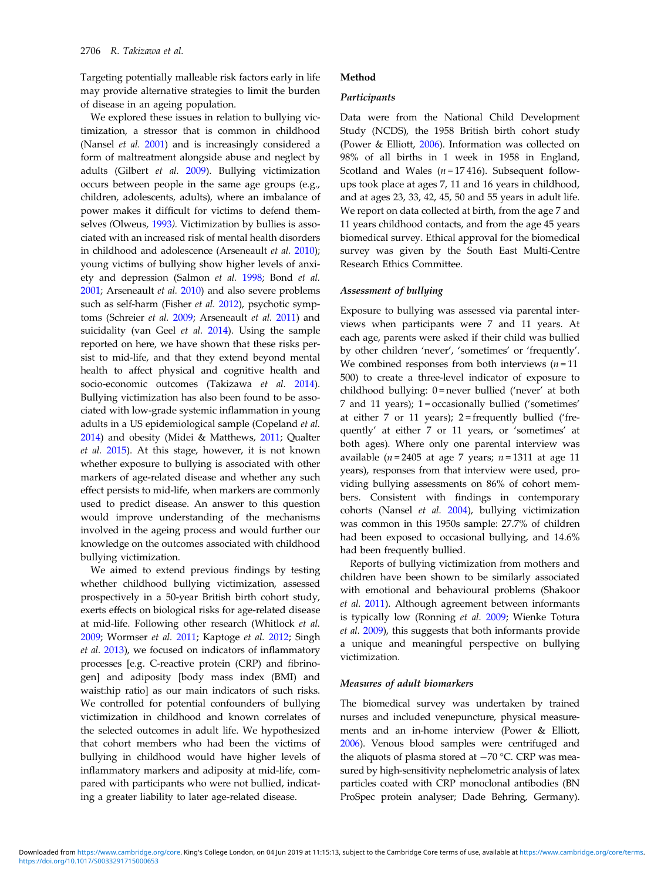Targeting potentially malleable risk factors early in life may provide alternative strategies to limit the burden of disease in an ageing population.

We explored these issues in relation to bullying victimization, a stressor that is common in childhood (Nansel et al. [2001\)](#page-9-0) and is increasingly considered a form of maltreatment alongside abuse and neglect by adults (Gilbert et al. [2009\)](#page-8-0). Bullying victimization occurs between people in the same age groups (e.g., children, adolescents, adults), where an imbalance of power makes it difficult for victims to defend themselves (Olweus, [1993](#page-9-0)). Victimization by bullies is associated with an increased risk of mental health disorders in childhood and adolescence (Arseneault et al. [2010](#page-8-0)); young victims of bullying show higher levels of anxiety and depression (Salmon et al. [1998](#page-10-0); Bond et al. [2001;](#page-8-0) Arseneault et al. [2010](#page-8-0)) and also severe problems such as self-harm (Fisher et al. [2012](#page-8-0)), psychotic symptoms (Schreier et al. [2009](#page-10-0); Arseneault et al. [2011\)](#page-8-0) and suicidality (van Geel et al. [2014\)](#page-10-0). Using the sample reported on here, we have shown that these risks persist to mid-life, and that they extend beyond mental health to affect physical and cognitive health and socio-economic outcomes (Takizawa et al. [2014](#page-10-0)). Bullying victimization has also been found to be associated with low-grade systemic inflammation in young adults in a US epidemiological sample (Copeland et al. [2014\)](#page-8-0) and obesity (Midei & Matthews, [2011;](#page-8-0) Qualter et al. [2015](#page-10-0)). At this stage, however, it is not known whether exposure to bullying is associated with other markers of age-related disease and whether any such effect persists to mid-life, when markers are commonly used to predict disease. An answer to this question would improve understanding of the mechanisms involved in the ageing process and would further our knowledge on the outcomes associated with childhood bullying victimization.

We aimed to extend previous findings by testing whether childhood bullying victimization, assessed prospectively in a 50-year British birth cohort study, exerts effects on biological risks for age-related disease at mid-life. Following other research (Whitlock et al. [2009;](#page-10-0) Wormser et al. [2011](#page-10-0); Kaptoge et al. [2012](#page-8-0); Singh et al. [2013\)](#page-10-0), we focused on indicators of inflammatory processes [e.g. C-reactive protein (CRP) and fibrinogen] and adiposity [body mass index (BMI) and waist:hip ratio] as our main indicators of such risks. We controlled for potential confounders of bullying victimization in childhood and known correlates of the selected outcomes in adult life. We hypothesized that cohort members who had been the victims of bullying in childhood would have higher levels of inflammatory markers and adiposity at mid-life, compared with participants who were not bullied, indicating a greater liability to later age-related disease.

#### Method

#### **Participants**

Data were from the National Child Development Study (NCDS), the 1958 British birth cohort study (Power & Elliott, [2006](#page-10-0)). Information was collected on 98% of all births in 1 week in 1958 in England, Scotland and Wales ( $n = 17416$ ). Subsequent followups took place at ages 7, 11 and 16 years in childhood, and at ages 23, 33, 42, 45, 50 and 55 years in adult life. We report on data collected at birth, from the age 7 and 11 years childhood contacts, and from the age 45 years biomedical survey. Ethical approval for the biomedical survey was given by the South East Multi-Centre Research Ethics Committee.

#### Assessment of bullying

Exposure to bullying was assessed via parental interviews when participants were 7 and 11 years. At each age, parents were asked if their child was bullied by other children 'never', 'sometimes' or 'frequently'. We combined responses from both interviews  $(n = 11)$ 500) to create a three-level indicator of exposure to childhood bullying: 0 = never bullied ('never' at both 7 and 11 years); 1 = occasionally bullied ('sometimes' at either  $7$  or  $11$  years);  $2 =$  frequently bullied ('frequently' at either 7 or 11 years, or 'sometimes' at both ages). Where only one parental interview was available ( $n = 2405$  at age 7 years;  $n = 1311$  at age 11 years), responses from that interview were used, providing bullying assessments on 86% of cohort members. Consistent with findings in contemporary cohorts (Nansel et al. [2004\)](#page-9-0), bullying victimization was common in this 1950s sample: 27.7% of children had been exposed to occasional bullying, and 14.6% had been frequently bullied.

Reports of bullying victimization from mothers and children have been shown to be similarly associated with emotional and behavioural problems (Shakoor et al. [2011](#page-10-0)). Although agreement between informants is typically low (Ronning et al. [2009;](#page-10-0) Wienke Totura et al. [2009](#page-10-0)), this suggests that both informants provide a unique and meaningful perspective on bullying victimization.

#### Measures of adult biomarkers

The biomedical survey was undertaken by trained nurses and included venepuncture, physical measurements and an in-home interview (Power & Elliott, [2006](#page-10-0)). Venous blood samples were centrifuged and the aliquots of plasma stored at −70 °C. CRP was measured by high-sensitivity nephelometric analysis of latex particles coated with CRP monoclonal antibodies (BN ProSpec protein analyser; Dade Behring, Germany).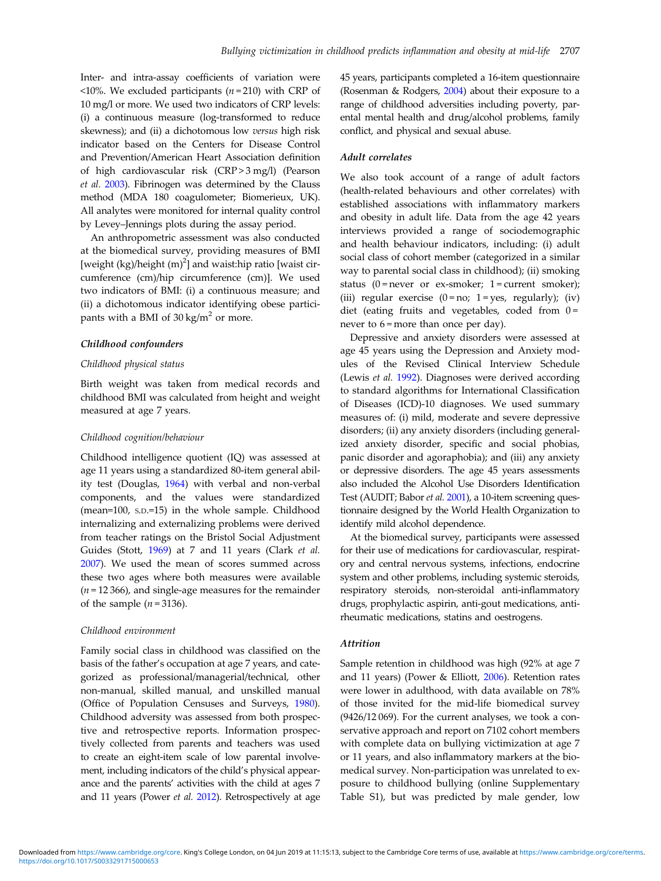Inter- and intra-assay coefficients of variation were <10%. We excluded participants (n = 210) with CRP of 10 mg/l or more. We used two indicators of CRP levels: (i) a continuous measure (log-transformed to reduce skewness); and (ii) a dichotomous low versus high risk indicator based on the Centers for Disease Control and Prevention/American Heart Association definition of high cardiovascular risk (CRP > 3 mg/l) (Pearson et al. [2003](#page-9-0)). Fibrinogen was determined by the Clauss method (MDA 180 coagulometer; Biomerieux, UK). All analytes were monitored for internal quality control by Levey–Jennings plots during the assay period.

An anthropometric assessment was also conducted at the biomedical survey, providing measures of BMI [weight (kg)/height  $(m)^2$ ] and waist:hip ratio [waist circumference (cm)/hip circumference (cm)]. We used two indicators of BMI: (i) a continuous measure; and (ii) a dichotomous indicator identifying obese participants with a BMI of  $30 \text{ kg/m}^2$  or more.

## Childhood confounders

## Childhood physical status

Birth weight was taken from medical records and childhood BMI was calculated from height and weight measured at age 7 years.

#### Childhood cognition/behaviour

Childhood intelligence quotient (IQ) was assessed at age 11 years using a standardized 80-item general ability test (Douglas, [1964\)](#page-8-0) with verbal and non-verbal components, and the values were standardized (mean=100, S.D.=15) in the whole sample. Childhood internalizing and externalizing problems were derived from teacher ratings on the Bristol Social Adjustment Guides (Stott, [1969\)](#page-10-0) at 7 and 11 years (Clark et al. [2007\)](#page-8-0). We used the mean of scores summed across these two ages where both measures were available  $(n = 12366)$ , and single-age measures for the remainder of the sample  $(n=3136)$ .

#### Childhood environment

Family social class in childhood was classified on the basis of the father's occupation at age 7 years, and categorized as professional/managerial/technical, other non-manual, skilled manual, and unskilled manual (Office of Population Censuses and Surveys, [1980](#page-9-0)). Childhood adversity was assessed from both prospective and retrospective reports. Information prospectively collected from parents and teachers was used to create an eight-item scale of low parental involvement, including indicators of the child's physical appearance and the parents' activities with the child at ages 7 and 11 years (Power et al. [2012\)](#page-10-0). Retrospectively at age 45 years, participants completed a 16-item questionnaire (Rosenman & Rodgers, [2004\)](#page-10-0) about their exposure to a range of childhood adversities including poverty, parental mental health and drug/alcohol problems, family conflict, and physical and sexual abuse.

## Adult correlates

We also took account of a range of adult factors (health-related behaviours and other correlates) with established associations with inflammatory markers and obesity in adult life. Data from the age 42 years interviews provided a range of sociodemographic and health behaviour indicators, including: (i) adult social class of cohort member (categorized in a similar way to parental social class in childhood); (ii) smoking status  $(0 = never or ex-smoker; 1 = current smoker);$ (iii) regular exercise  $(0 = no; 1 = yes, regularly);$  (iv) diet (eating fruits and vegetables, coded from  $0 =$ never to  $6 = more than once per day$ .

Depressive and anxiety disorders were assessed at age 45 years using the Depression and Anxiety modules of the Revised Clinical Interview Schedule (Lewis et al. [1992\)](#page-8-0). Diagnoses were derived according to standard algorithms for International Classification of Diseases (ICD)-10 diagnoses. We used summary measures of: (i) mild, moderate and severe depressive disorders; (ii) any anxiety disorders (including generalized anxiety disorder, specific and social phobias, panic disorder and agoraphobia); and (iii) any anxiety or depressive disorders. The age 45 years assessments also included the Alcohol Use Disorders Identification Test (AUDIT; Babor et al. [2001](#page-8-0)), a 10-item screening questionnaire designed by the World Health Organization to identify mild alcohol dependence.

At the biomedical survey, participants were assessed for their use of medications for cardiovascular, respiratory and central nervous systems, infections, endocrine system and other problems, including systemic steroids, respiratory steroids, non-steroidal anti-inflammatory drugs, prophylactic aspirin, anti-gout medications, antirheumatic medications, statins and oestrogens.

## Attrition

Sample retention in childhood was high (92% at age 7 and 11 years) (Power & Elliott, [2006](#page-10-0)). Retention rates were lower in adulthood, with data available on 78% of those invited for the mid-life biomedical survey (9426/12 069). For the current analyses, we took a conservative approach and report on 7102 cohort members with complete data on bullying victimization at age 7 or 11 years, and also inflammatory markers at the biomedical survey. Non-participation was unrelated to exposure to childhood bullying (online Supplementary Table S1), but was predicted by male gender, low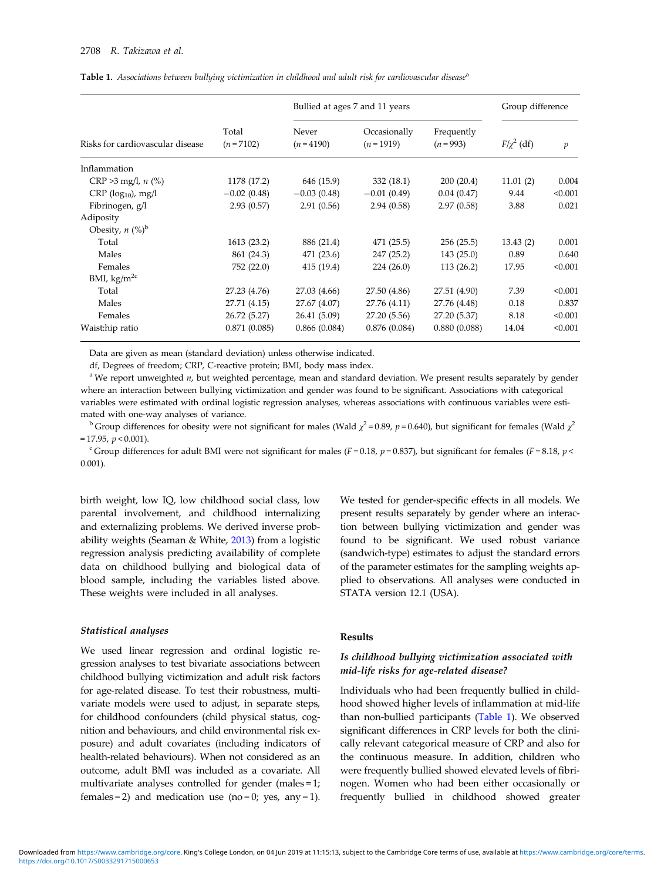|                                  | Total<br>$(n = 7102)$ | Bullied at ages 7 and 11 years | Group difference           |                           |                 |                  |
|----------------------------------|-----------------------|--------------------------------|----------------------------|---------------------------|-----------------|------------------|
| Risks for cardiovascular disease |                       | Never<br>$(n=4190)$            | Occasionally<br>$(n=1919)$ | Frequently<br>$(n = 993)$ | $F/\chi^2$ (df) | $\boldsymbol{p}$ |
| Inflammation                     |                       |                                |                            |                           |                 |                  |
| CRP > 3 mg/l, $n$ (%)            | 1178 (17.2)           | 646 (15.9)                     | 332 (18.1)                 | 200(20.4)                 | 11.01(2)        | 0.004            |
| $CRP$ (log <sub>10</sub> ), mg/l | $-0.02(0.48)$         | $-0.03(0.48)$                  | $-0.01(0.49)$              | 0.04(0.47)                | 9.44            | < 0.001          |
| Fibrinogen, g/l                  | 2.93(0.57)            | 2.91(0.56)                     | 2.94(0.58)                 | 2.97(0.58)                | 3.88            | 0.021            |
| Adiposity                        |                       |                                |                            |                           |                 |                  |
| Obesity, $n$ (%) <sup>b</sup>    |                       |                                |                            |                           |                 |                  |
| Total                            | 1613 (23.2)           | 886 (21.4)                     | 471 (25.5)                 | 256(25.5)                 | 13.43(2)        | 0.001            |
| Males                            | 861 (24.3)            | 471 (23.6)                     | 247 (25.2)                 | 143(25.0)                 | 0.89            | 0.640            |
| Females                          | 752 (22.0)            | 415 (19.4)                     | 224(26.0)                  | 113(26.2)                 | 17.95           | < 0.001          |
| BMI, $\text{kg/m}^{\text{2c}}$   |                       |                                |                            |                           |                 |                  |
| Total                            | 27.23 (4.76)          | 27.03 (4.66)                   | 27.50 (4.86)               | 27.51 (4.90)              | 7.39            | < 0.001          |
| Males                            | 27.71 (4.15)          | 27.67 (4.07)                   | 27.76 (4.11)               | 27.76 (4.48)              | 0.18            | 0.837            |
| Females                          | 26.72 (5.27)          | 26.41 (5.09)                   | 27.20 (5.56)               | 27.20 (5.37)              | 8.18            | < 0.001          |
| Waist:hip ratio                  | 0.871(0.085)          | 0.866(0.084)                   | 0.876(0.084)               | 0.880(0.088)              | 14.04           | < 0.001          |

Table 1. Associations between bullying victimization in childhood and adult risk for cardiovascular disease<sup>a</sup>

Data are given as mean (standard deviation) unless otherwise indicated.

df, Degrees of freedom; CRP, C-reactive protein; BMI, body mass index.

<sup>a</sup> We report unweighted *n*, but weighted percentage, mean and standard deviation. We present results separately by gender where an interaction between bullying victimization and gender was found to be significant. Associations with categorical variables were estimated with ordinal logistic regression analyses, whereas associations with continuous variables were estimated with one-way analyses of variance.

<sup>b</sup> Group differences for obesity were not significant for males (Wald  $\chi^2$  = 0.89, p = 0.640), but significant for females (Wald  $\chi^2$  $= 17.95, p < 0.001$ ).

<sup>c</sup> Group differences for adult BMI were not significant for males ( $F = 0.18$ ,  $p = 0.837$ ), but significant for females ( $F = 8.18$ ,  $p <$ 0.001).

birth weight, low IQ, low childhood social class, low parental involvement, and childhood internalizing and externalizing problems. We derived inverse probability weights (Seaman & White, [2013](#page-10-0)) from a logistic regression analysis predicting availability of complete data on childhood bullying and biological data of blood sample, including the variables listed above. These weights were included in all analyses.

#### Statistical analyses

We used linear regression and ordinal logistic regression analyses to test bivariate associations between childhood bullying victimization and adult risk factors for age-related disease. To test their robustness, multivariate models were used to adjust, in separate steps, for childhood confounders (child physical status, cognition and behaviours, and child environmental risk exposure) and adult covariates (including indicators of health-related behaviours). When not considered as an outcome, adult BMI was included as a covariate. All multivariate analyses controlled for gender (males = 1; females = 2) and medication use (no = 0; yes, any = 1).

We tested for gender-specific effects in all models. We present results separately by gender where an interaction between bullying victimization and gender was found to be significant. We used robust variance (sandwich-type) estimates to adjust the standard errors of the parameter estimates for the sampling weights applied to observations. All analyses were conducted in STATA version 12.1 (USA).

## Results

## Is childhood bullying victimization associated with mid-life risks for age-related disease?

Individuals who had been frequently bullied in childhood showed higher levels of inflammation at mid-life than non-bullied participants (Table 1). We observed significant differences in CRP levels for both the clinically relevant categorical measure of CRP and also for the continuous measure. In addition, children who were frequently bullied showed elevated levels of fibrinogen. Women who had been either occasionally or frequently bullied in childhood showed greater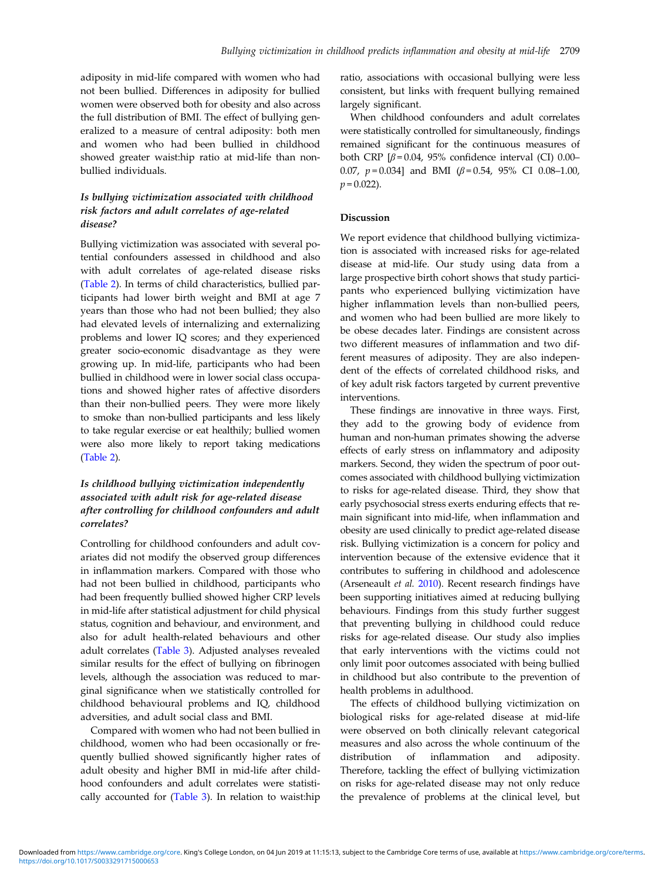adiposity in mid-life compared with women who had not been bullied. Differences in adiposity for bullied women were observed both for obesity and also across the full distribution of BMI. The effect of bullying generalized to a measure of central adiposity: both men and women who had been bullied in childhood showed greater waist:hip ratio at mid-life than nonbullied individuals.

# Is bullying victimization associated with childhood risk factors and adult correlates of age-related disease?

Bullying victimization was associated with several potential confounders assessed in childhood and also with adult correlates of age-related disease risks ([Table 2](#page-5-0)). In terms of child characteristics, bullied participants had lower birth weight and BMI at age 7 years than those who had not been bullied; they also had elevated levels of internalizing and externalizing problems and lower IQ scores; and they experienced greater socio-economic disadvantage as they were growing up. In mid-life, participants who had been bullied in childhood were in lower social class occupations and showed higher rates of affective disorders than their non-bullied peers. They were more likely to smoke than non-bullied participants and less likely to take regular exercise or eat healthily; bullied women were also more likely to report taking medications [\(Table 2\)](#page-5-0).

## Is childhood bullying victimization independently associated with adult risk for age-related disease after controlling for childhood confounders and adult correlates?

Controlling for childhood confounders and adult covariates did not modify the observed group differences in inflammation markers. Compared with those who had not been bullied in childhood, participants who had been frequently bullied showed higher CRP levels in mid-life after statistical adjustment for child physical status, cognition and behaviour, and environment, and also for adult health-related behaviours and other adult correlates ([Table 3](#page-6-0)). Adjusted analyses revealed similar results for the effect of bullying on fibrinogen levels, although the association was reduced to marginal significance when we statistically controlled for childhood behavioural problems and IQ, childhood adversities, and adult social class and BMI.

Compared with women who had not been bullied in childhood, women who had been occasionally or frequently bullied showed significantly higher rates of adult obesity and higher BMI in mid-life after childhood confounders and adult correlates were statistically accounted for ([Table 3](#page-6-0)). In relation to waist:hip ratio, associations with occasional bullying were less consistent, but links with frequent bullying remained largely significant.

When childhood confounders and adult correlates were statistically controlled for simultaneously, findings remained significant for the continuous measures of both CRP  $\beta$ =0.04, 95% confidence interval (CI) 0.00– 0.07,  $p = 0.0341$  and BMI ( $\beta = 0.54$ , 95% CI 0.08-1.00,  $p = 0.022$ ).

## Discussion

We report evidence that childhood bullying victimization is associated with increased risks for age-related disease at mid-life. Our study using data from a large prospective birth cohort shows that study participants who experienced bullying victimization have higher inflammation levels than non-bullied peers, and women who had been bullied are more likely to be obese decades later. Findings are consistent across two different measures of inflammation and two different measures of adiposity. They are also independent of the effects of correlated childhood risks, and of key adult risk factors targeted by current preventive interventions.

These findings are innovative in three ways. First, they add to the growing body of evidence from human and non-human primates showing the adverse effects of early stress on inflammatory and adiposity markers. Second, they widen the spectrum of poor outcomes associated with childhood bullying victimization to risks for age-related disease. Third, they show that early psychosocial stress exerts enduring effects that remain significant into mid-life, when inflammation and obesity are used clinically to predict age-related disease risk. Bullying victimization is a concern for policy and intervention because of the extensive evidence that it contributes to suffering in childhood and adolescence (Arseneault et al. [2010\)](#page-8-0). Recent research findings have been supporting initiatives aimed at reducing bullying behaviours. Findings from this study further suggest that preventing bullying in childhood could reduce risks for age-related disease. Our study also implies that early interventions with the victims could not only limit poor outcomes associated with being bullied in childhood but also contribute to the prevention of health problems in adulthood.

The effects of childhood bullying victimization on biological risks for age-related disease at mid-life were observed on both clinically relevant categorical measures and also across the whole continuum of the distribution of inflammation and adiposity. Therefore, tackling the effect of bullying victimization on risks for age-related disease may not only reduce the prevalence of problems at the clinical level, but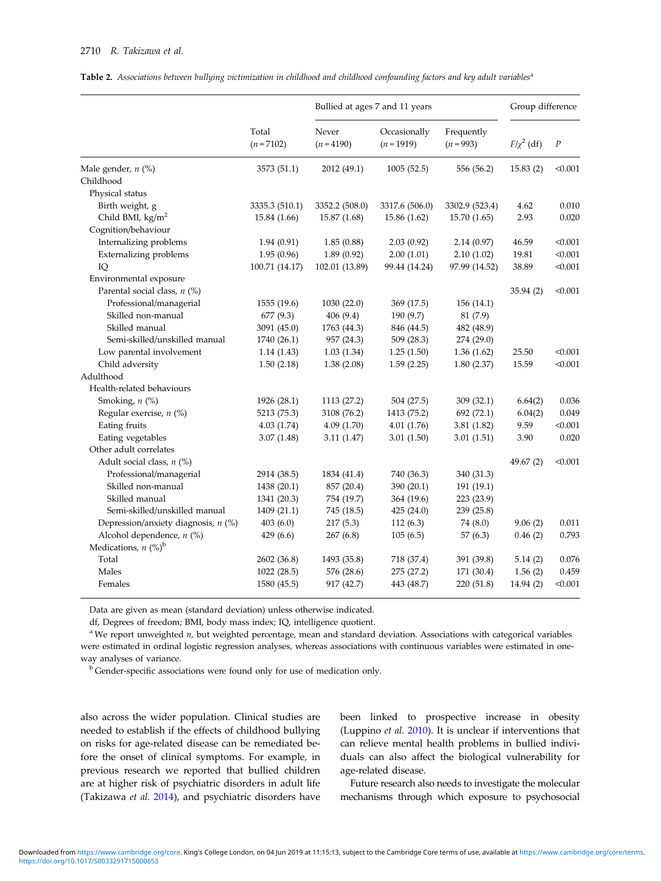|                                       |                       | Bullied at ages 7 and 11 years |                            |                           | Group difference |         |
|---------------------------------------|-----------------------|--------------------------------|----------------------------|---------------------------|------------------|---------|
|                                       | Total<br>$(n = 7102)$ | Never<br>$(n=4190)$            | Occasionally<br>$(n=1919)$ | Frequently<br>$(n = 993)$ | $F/\chi^2$ (df)  | Ρ       |
| Male gender, $n$ (%)                  | 3573 (51.1)           | 2012 (49.1)                    | 1005(52.5)                 | 556 (56.2)                | 15.83(2)         | < 0.001 |
| Childhood                             |                       |                                |                            |                           |                  |         |
| Physical status                       |                       |                                |                            |                           |                  |         |
| Birth weight, g                       | 3335.3 (510.1)        | 3352.2 (508.0)                 | 3317.6 (506.0)             | 3302.9 (523.4)            | 4.62             | 0.010   |
| Child BMI, kg/m <sup>2</sup>          | 15.84 (1.66)          | 15.87 (1.68)                   | 15.86 (1.62)               | 15.70 (1.65)              | 2.93             | 0.020   |
| Cognition/behaviour                   |                       |                                |                            |                           |                  |         |
| Internalizing problems                | 1.94(0.91)            | 1.85(0.88)                     | 2.03(0.92)                 | 2.14(0.97)                | 46.59            | < 0.001 |
| <b>Externalizing problems</b>         | 1.95(0.96)            | 1.89(0.92)                     | 2.00(1.01)                 | 2.10(1.02)                | 19.81            | < 0.001 |
| IQ                                    | 100.71 (14.17)        | 102.01 (13.89)                 | 99.44 (14.24)              | 97.99 (14.52)             | 38.89            | < 0.001 |
| Environmental exposure                |                       |                                |                            |                           |                  |         |
| Parental social class, $n$ (%)        |                       |                                |                            |                           | 35.94(2)         | < 0.001 |
| Professional/managerial               | 1555 (19.6)           | 1030 (22.0)                    | 369 (17.5)                 | 156 (14.1)                |                  |         |
| Skilled non-manual                    | 677 (9.3)             | 406 (9.4)                      | 190 (9.7)                  | 81 (7.9)                  |                  |         |
| Skilled manual                        | 3091 (45.0)           | 1763 (44.3)                    | 846 (44.5)                 | 482 (48.9)                |                  |         |
| Semi-skilled/unskilled manual         | 1740 (26.1)           | 957 (24.3)                     | 509 (28.3)                 | 274 (29.0)                |                  |         |
| Low parental involvement              | 1.14(1.43)            | 1.03(1.34)                     | 1.25(1.50)                 | 1.36(1.62)                | 25.50            | < 0.001 |
| Child adversity                       | 1.50(2.18)            | 1.38(2.08)                     | 1.59(2.25)                 | 1.80(2.37)                | 15.59            | < 0.001 |
| Adulthood                             |                       |                                |                            |                           |                  |         |
| Health-related behaviours             |                       |                                |                            |                           |                  |         |
| Smoking, n (%)                        | 1926 (28.1)           | 1113 (27.2)                    | 504 (27.5)                 | 309(32.1)                 | 6.64(2)          | 0.036   |
| Regular exercise, $n$ (%)             | 5213 (75.3)           | 3108 (76.2)                    | 1413 (75.2)                | 692 (72.1)                | 6.04(2)          | 0.049   |
| Eating fruits                         | 4.03(1.74)            | 4.09(1.70)                     | 4.01 (1.76)                | 3.81(1.82)                | 9.59             | < 0.001 |
| Eating vegetables                     | 3.07(1.48)            | 3.11(1.47)                     | 3.01(1.50)                 | 3.01(1.51)                | 3.90             | 0.020   |
| Other adult correlates                |                       |                                |                            |                           |                  |         |
| Adult social class, $n$ (%)           |                       |                                |                            |                           | 49.67 $(2)$      | < 0.001 |
| Professional/managerial               | 2914 (38.5)           | 1834 (41.4)                    | 740 (36.3)                 | 340 (31.3)                |                  |         |
| Skilled non-manual                    | 1438 (20.1)           | 857 (20.4)                     | 390 (20.1)                 | 191 (19.1)                |                  |         |
| Skilled manual                        | 1341 (20.3)           | 754 (19.7)                     | 364 (19.6)                 | 223 (23.9)                |                  |         |
| Semi-skilled/unskilled manual         | 1409 (21.1)           | 745 (18.5)                     | 425 (24.0)                 | 239 (25.8)                |                  |         |
| Depression/anxiety diagnosis, $n$ (%) | 403(6.0)              | 217(5.3)                       | 112(6.3)                   | 74 (8.0)                  | 9.06(2)          | 0.011   |
| Alcohol dependence, $n$ (%)           | 429(6.6)              | 267(6.8)                       | 105(6.5)                   | 57(6.3)                   | 0.46(2)          | 0.793   |
| Medications, $n$ (%) <sup>b</sup>     |                       |                                |                            |                           |                  |         |
| Total                                 | 2602 (36.8)           | 1493 (35.8)                    | 718 (37.4)                 | 391 (39.8)                | 5.14(2)          | 0.076   |
| Males                                 | 1022 (28.5)           | 576 (28.6)                     | 275 (27.2)                 | 171 (30.4)                | 1.56(2)          | 0.459   |
| Females                               | 1580 (45.5)           | 917 (42.7)                     | 443 (48.7)                 | 220 (51.8)                | 14.94(2)         | < 0.001 |
|                                       |                       |                                |                            |                           |                  |         |

<span id="page-5-0"></span>Table 2. Associations between bullying victimization in childhood and childhood confounding factors and key adult variables<sup>a</sup>

Data are given as mean (standard deviation) unless otherwise indicated.

df, Degrees of freedom; BMI, body mass index; IQ, intelligence quotient.

<sup>a</sup> We report unweighted  $n$ , but weighted percentage, mean and standard deviation. Associations with categorical variables were estimated in ordinal logistic regression analyses, whereas associations with continuous variables were estimated in oneway analyses of variance.

<sup>b</sup> Gender-specific associations were found only for use of medication only.

also across the wider population. Clinical studies are needed to establish if the effects of childhood bullying on risks for age-related disease can be remediated before the onset of clinical symptoms. For example, in previous research we reported that bullied children are at higher risk of psychiatric disorders in adult life (Takizawa et al. [2014\)](#page-10-0), and psychiatric disorders have been linked to prospective increase in obesity (Luppino et al. [2010\)](#page-8-0). It is unclear if interventions that can relieve mental health problems in bullied individuals can also affect the biological vulnerability for age-related disease.

Future research also needs to investigate the molecular mechanisms through which exposure to psychosocial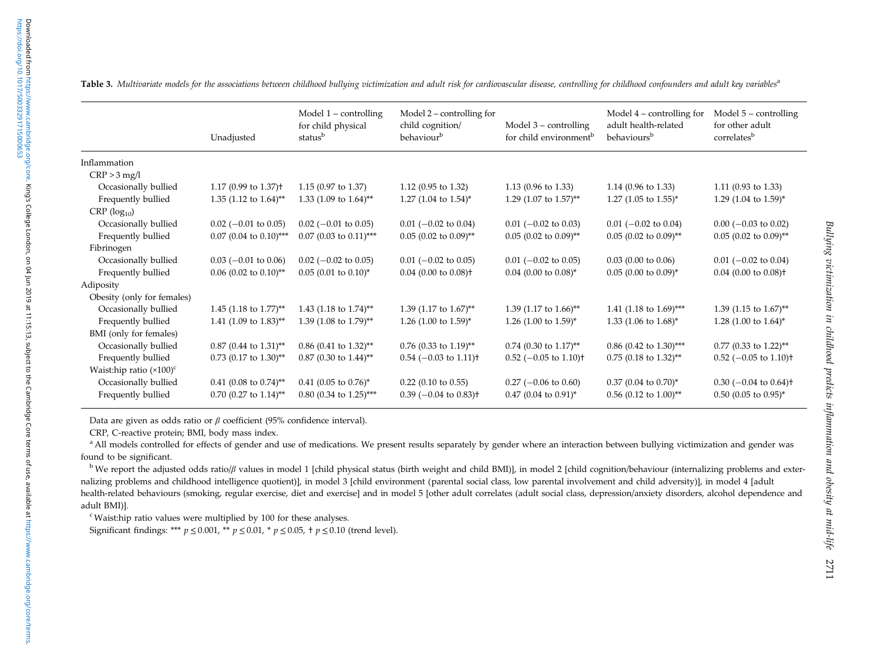|                            | Unadjusted                       | Model $1$ – controlling<br>for child physical<br>statusb | Model 2 – controlling for<br>child cognition/<br>behaviourb | Model $3$ – controlling<br>for child environment <sup>b</sup> | Model $4$ – controlling for<br>adult health-related<br>behaviours <sup>b</sup> | Model $5$ – controlling<br>for other adult<br>correlatesb |
|----------------------------|----------------------------------|----------------------------------------------------------|-------------------------------------------------------------|---------------------------------------------------------------|--------------------------------------------------------------------------------|-----------------------------------------------------------|
| Inflammation               |                                  |                                                          |                                                             |                                                               |                                                                                |                                                           |
| $CRP > 3$ mg/l             |                                  |                                                          |                                                             |                                                               |                                                                                |                                                           |
| Occasionally bullied       | 1.17 (0.99 to 1.37) <sup>+</sup> | 1.15 $(0.97 \text{ to } 1.37)$                           | 1.12 $(0.95 \text{ to } 1.32)$                              | 1.13 $(0.96 \text{ to } 1.33)$                                | 1.14 $(0.96 \text{ to } 1.33)$                                                 | 1.11 $(0.93 \text{ to } 1.33)$                            |
| Frequently bullied         | 1.35 (1.12 to $1.64$ )**         | 1.33 (1.09 to $1.64$ )**                                 | 1.27 (1.04 to $1.54$ )*                                     | 1.29 (1.07 to $1.57$ <sup>**</sup>                            | 1.27 (1.05 to $1.55$ )*                                                        | 1.29 (1.04 to $1.59$ )*                                   |
| $CRP$ (log <sub>10</sub> ) |                                  |                                                          |                                                             |                                                               |                                                                                |                                                           |
| Occasionally bullied       | $0.02$ (-0.01 to 0.05)           | $0.02$ (-0.01 to 0.05)                                   | $0.01$ (-0.02 to 0.04)                                      | $0.01$ (-0.02 to 0.03)                                        | $0.01$ (-0.02 to 0.04)                                                         | $0.00$ (-0.03 to 0.02)                                    |
| Frequently bullied         | $0.07$ (0.04 to 0.10)***         | $0.07$ (0.03 to 0.11)***                                 | $0.05$ (0.02 to 0.09)**                                     | $0.05$ (0.02 to 0.09)**                                       | $0.05$ (0.02 to 0.09)**                                                        | $0.05$ (0.02 to 0.09)**                                   |
| Fibrinogen                 |                                  |                                                          |                                                             |                                                               |                                                                                |                                                           |
| Occasionally bullied       | $0.03$ (-0.01 to 0.06)           | $0.02$ (-0.02 to 0.05)                                   | $0.01$ (-0.02 to 0.05)                                      | $0.01$ (-0.02 to 0.05)                                        | $0.03$ (0.00 to 0.06)                                                          | $0.01$ (-0.02 to 0.04)                                    |
| Frequently bullied         | $0.06$ (0.02 to 0.10)**          | $0.05$ (0.01 to 0.10) <sup>*</sup>                       | $0.04$ (0.00 to 0.08) <sup>+</sup>                          | $0.04$ (0.00 to 0.08) <sup>*</sup>                            | $0.05$ (0.00 to 0.09)*                                                         | $0.04$ (0.00 to 0.08) <sup>+</sup>                        |
| Adiposity                  |                                  |                                                          |                                                             |                                                               |                                                                                |                                                           |
| Obesity (only for females) |                                  |                                                          |                                                             |                                                               |                                                                                |                                                           |
| Occasionally bullied       | 1.45 (1.18 to 1.77)**            | 1.43 (1.18 to 1.74)**                                    | 1.39 (1.17 to $1.67$ <sup>**</sup>                          | 1.39 (1.17 to 1.66)**                                         | 1.41 (1.18 to 1.69)***                                                         | 1.39 (1.15 to $1.67$ )**                                  |
| Frequently bullied         | 1.41 (1.09 to 1.83)**            | 1.39 (1.08 to 1.79)**                                    | 1.26 (1.00 to $1.59$ )*                                     | 1.26 $(1.00 \text{ to } 1.59)^*$                              | 1.33 (1.06 to $1.68$ )*                                                        | 1.28 (1.00 to $1.64$ )*                                   |
| BMI (only for females)     |                                  |                                                          |                                                             |                                                               |                                                                                |                                                           |
| Occasionally bullied       | $0.87$ (0.44 to 1.31)**          | $0.86$ (0.41 to 1.32)**                                  | $0.76$ (0.33 to 1.19)**                                     | $0.74$ (0.30 to 1.17)**                                       | $0.86$ (0.42 to 1.30)***                                                       | $0.77$ (0.33 to 1.22)**                                   |
| Frequently bullied         | $0.73$ (0.17 to 1.30)**          | $0.87$ (0.30 to 1.44)**                                  | $0.54$ (-0.03 to 1.11) <sup>+</sup>                         | $0.52$ (-0.05 to 1.10) <sup>+</sup>                           | $0.75$ (0.18 to 1.32)**                                                        | $0.52$ (-0.05 to 1.10) <sup>+</sup>                       |
| Waist:hip ratio $(*100)^c$ |                                  |                                                          |                                                             |                                                               |                                                                                |                                                           |
| Occasionally bullied       | $0.41$ (0.08 to 0.74)**          | $0.41$ (0.05 to 0.76)*                                   | $0.22$ (0.10 to 0.55)                                       | $0.27$ (-0.06 to 0.60)                                        | $0.37$ (0.04 to 0.70)*                                                         | $0.30$ (-0.04 to 0.64) <sup>+</sup>                       |
| Frequently bullied         | $0.70$ (0.27 to 1.14)**          | $0.80$ (0.34 to 1.25)***                                 | $0.39$ (-0.04 to 0.83) <sup>+</sup>                         | $0.47$ (0.04 to 0.91) <sup>*</sup>                            | $0.56$ (0.12 to 1.00)**                                                        | $0.50$ (0.05 to 0.95)*                                    |
|                            |                                  |                                                          |                                                             |                                                               |                                                                                |                                                           |

<span id="page-6-0"></span>Table 3. Multivariate models for the associations between childhood bullying victimization and adult risk for cardiovascular disease, controlling for childhood confounders and adult key variables<sup>a</sup>

Data are given as odds ratio or  $\beta$  coefficient (95% confidence interval).

CRP, C-reactive protein; BMI, body mass index.

<sup>a</sup> All models controlled for effects of gender and use of medications. We present results separately by gender where an interaction between bullying victimization and gender was found to be significant.

<sup>b</sup> We report the adjusted odds ratio/β values in model 1 [child physical status (birth weight and child BMI)], in model 2 [child cognition/behaviour (internalizing problems and externalizing problems and childhood intelligence quotient)], in model 3 [child environment (parental social class, low parental involvement and child adversity)], in model <sup>4</sup> [adult health-related behaviours (smoking, regular exercise, diet and exercise] and in model 5 [other adult correlates (adult social class, depression/anxiety disorders, alcohol dependence and adult BMI)].

 $\textdegree$ Waist:hip ratio values were multiplied by 100 for these analyses.

Significant findings: \*\*\*  $p \le 0.001$ , \*\*  $p \le 0.01$ , \*  $p \le 0.05$ , †  $p \le 0.10$  (trend level).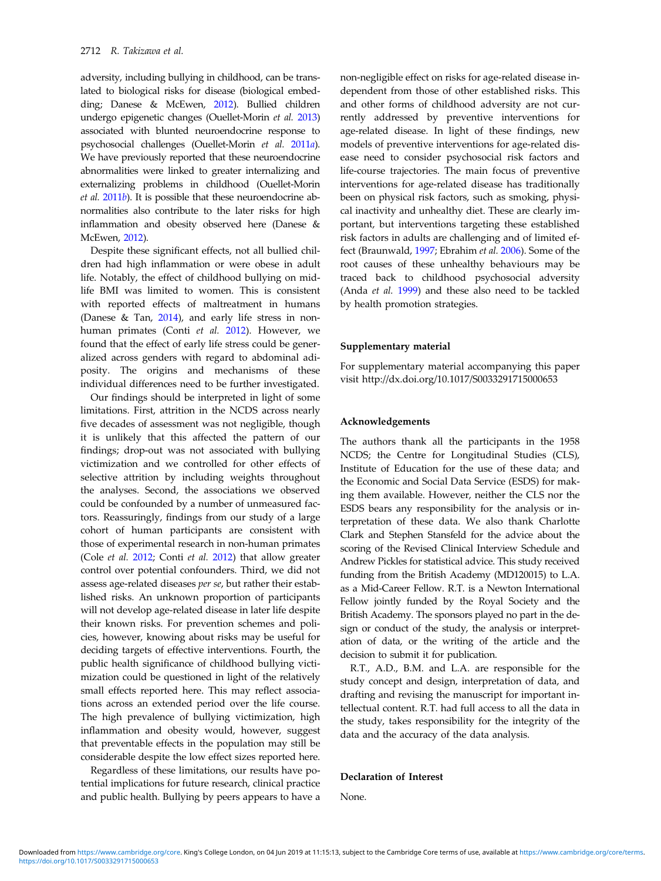adversity, including bullying in childhood, can be translated to biological risks for disease (biological embedding; Danese & McEwen, [2012](#page-8-0)). Bullied children undergo epigenetic changes (Ouellet-Morin et al. [2013\)](#page-9-0) associated with blunted neuroendocrine response to psychosocial challenges (Ouellet-Morin et al. [2011](#page-9-0)a). We have previously reported that these neuroendocrine abnormalities were linked to greater internalizing and externalizing problems in childhood (Ouellet-Morin et al. [2011](#page-9-0)b). It is possible that these neuroendocrine abnormalities also contribute to the later risks for high inflammation and obesity observed here (Danese & McEwen, [2012\)](#page-8-0).

Despite these significant effects, not all bullied children had high inflammation or were obese in adult life. Notably, the effect of childhood bullying on midlife BMI was limited to women. This is consistent with reported effects of maltreatment in humans (Danese & Tan, [2014\)](#page-8-0), and early life stress in non-human primates (Conti et al. [2012\)](#page-8-0). However, we found that the effect of early life stress could be generalized across genders with regard to abdominal adiposity. The origins and mechanisms of these individual differences need to be further investigated.

Our findings should be interpreted in light of some limitations. First, attrition in the NCDS across nearly five decades of assessment was not negligible, though it is unlikely that this affected the pattern of our findings; drop-out was not associated with bullying victimization and we controlled for other effects of selective attrition by including weights throughout the analyses. Second, the associations we observed could be confounded by a number of unmeasured factors. Reassuringly, findings from our study of a large cohort of human participants are consistent with those of experimental research in non-human primates (Cole et al. [2012;](#page-8-0) Conti et al. [2012\)](#page-8-0) that allow greater control over potential confounders. Third, we did not assess age-related diseases per se, but rather their established risks. An unknown proportion of participants will not develop age-related disease in later life despite their known risks. For prevention schemes and policies, however, knowing about risks may be useful for deciding targets of effective interventions. Fourth, the public health significance of childhood bullying victimization could be questioned in light of the relatively small effects reported here. This may reflect associations across an extended period over the life course. The high prevalence of bullying victimization, high inflammation and obesity would, however, suggest that preventable effects in the population may still be considerable despite the low effect sizes reported here.

Regardless of these limitations, our results have potential implications for future research, clinical practice and public health. Bullying by peers appears to have a non-negligible effect on risks for age-related disease independent from those of other established risks. This and other forms of childhood adversity are not currently addressed by preventive interventions for age-related disease. In light of these findings, new models of preventive interventions for age-related disease need to consider psychosocial risk factors and life-course trajectories. The main focus of preventive interventions for age-related disease has traditionally been on physical risk factors, such as smoking, physical inactivity and unhealthy diet. These are clearly important, but interventions targeting these established risk factors in adults are challenging and of limited effect (Braunwald, [1997;](#page-8-0) Ebrahim et al. [2006](#page-8-0)). Some of the root causes of these unhealthy behaviours may be traced back to childhood psychosocial adversity (Anda et al. [1999](#page-8-0)) and these also need to be tackled by health promotion strategies.

#### Supplementary material

For supplementary material accompanying this paper visit http://dx.doi.org/10.1017/S0033291715000653

#### Acknowledgements

The authors thank all the participants in the 1958 NCDS; the Centre for Longitudinal Studies (CLS), Institute of Education for the use of these data; and the Economic and Social Data Service (ESDS) for making them available. However, neither the CLS nor the ESDS bears any responsibility for the analysis or interpretation of these data. We also thank Charlotte Clark and Stephen Stansfeld for the advice about the scoring of the Revised Clinical Interview Schedule and Andrew Pickles for statistical advice. This study received funding from the British Academy (MD120015) to L.A. as a Mid-Career Fellow. R.T. is a Newton International Fellow jointly funded by the Royal Society and the British Academy. The sponsors played no part in the design or conduct of the study, the analysis or interpretation of data, or the writing of the article and the decision to submit it for publication.

R.T., A.D., B.M. and L.A. are responsible for the study concept and design, interpretation of data, and drafting and revising the manuscript for important intellectual content. R.T. had full access to all the data in the study, takes responsibility for the integrity of the data and the accuracy of the data analysis.

## Declaration of Interest

None.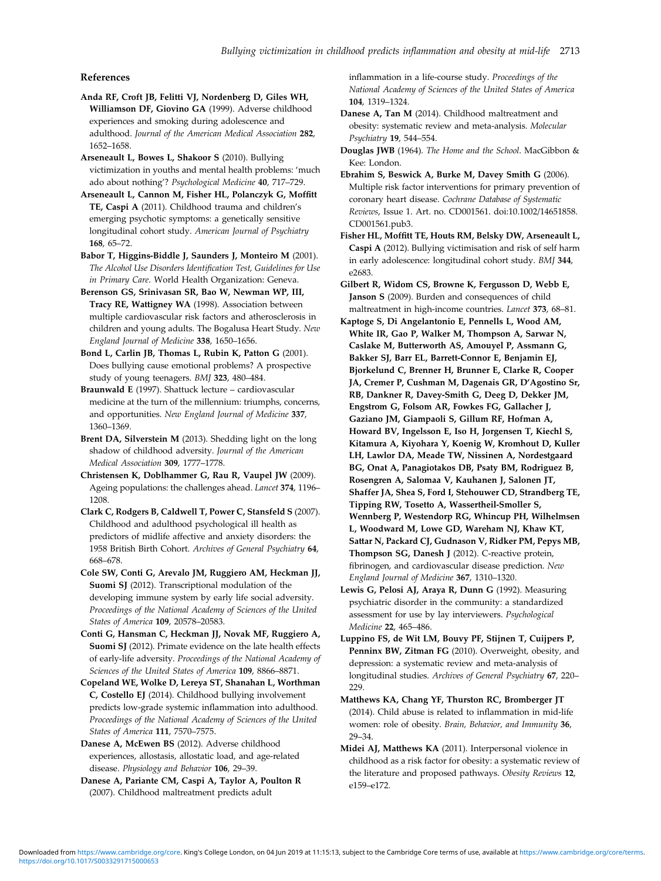## <span id="page-8-0"></span>References

- Anda RF, Croft JB, Felitti VJ, Nordenberg D, Giles WH, Williamson DF, Giovino GA (1999). Adverse childhood experiences and smoking during adolescence and adulthood. Journal of the American Medical Association 282, 1652–1658.
- Arseneault L, Bowes L, Shakoor S (2010). Bullying victimization in youths and mental health problems: 'much ado about nothing'? Psychological Medicine 40, 717–729.
- Arseneault L, Cannon M, Fisher HL, Polanczyk G, Moffitt TE, Caspi A (2011). Childhood trauma and children's emerging psychotic symptoms: a genetically sensitive longitudinal cohort study. American Journal of Psychiatry 168, 65–72.
- Babor T, Higgins-Biddle J, Saunders J, Monteiro M (2001). The Alcohol Use Disorders Identification Test, Guidelines for Use in Primary Care. World Health Organization: Geneva.
- Berenson GS, Srinivasan SR, Bao W, Newman WP, III, Tracy RE, Wattigney WA (1998). Association between multiple cardiovascular risk factors and atherosclerosis in children and young adults. The Bogalusa Heart Study. New England Journal of Medicine 338, 1650–1656.
- Bond L, Carlin JB, Thomas L, Rubin K, Patton G (2001). Does bullying cause emotional problems? A prospective study of young teenagers. BMJ 323, 480–484.
- Braunwald E (1997). Shattuck lecture cardiovascular medicine at the turn of the millennium: triumphs, concerns, and opportunities. New England Journal of Medicine 337, 1360–1369.
- Brent DA, Silverstein M (2013). Shedding light on the long shadow of childhood adversity. Journal of the American Medical Association 309, 1777–1778.
- Christensen K, Doblhammer G, Rau R, Vaupel JW (2009). Ageing populations: the challenges ahead. Lancet 374, 1196– 1208.
- Clark C, Rodgers B, Caldwell T, Power C, Stansfeld S (2007). Childhood and adulthood psychological ill health as predictors of midlife affective and anxiety disorders: the 1958 British Birth Cohort. Archives of General Psychiatry 64, 668–678.
- Cole SW, Conti G, Arevalo JM, Ruggiero AM, Heckman JJ, Suomi SJ (2012). Transcriptional modulation of the developing immune system by early life social adversity. Proceedings of the National Academy of Sciences of the United States of America 109, 20578–20583.
- Conti G, Hansman C, Heckman JJ, Novak MF, Ruggiero A, Suomi SJ (2012). Primate evidence on the late health effects of early-life adversity. Proceedings of the National Academy of Sciences of the United States of America 109, 8866–8871.
- Copeland WE, Wolke D, Lereya ST, Shanahan L, Worthman C, Costello EJ (2014). Childhood bullying involvement predicts low-grade systemic inflammation into adulthood. Proceedings of the National Academy of Sciences of the United States of America 111, 7570–7575.
- Danese A, McEwen BS (2012). Adverse childhood experiences, allostasis, allostatic load, and age-related disease. Physiology and Behavior 106, 29–39.
- Danese A, Pariante CM, Caspi A, Taylor A, Poulton R (2007). Childhood maltreatment predicts adult

inflammation in a life-course study. Proceedings of the National Academy of Sciences of the United States of America 104, 1319–1324.

- Danese A, Tan M (2014). Childhood maltreatment and obesity: systematic review and meta-analysis. Molecular Psychiatry 19, 544–554.
- Douglas JWB (1964). The Home and the School. MacGibbon & Kee: London.
- Ebrahim S, Beswick A, Burke M, Davey Smith G (2006). Multiple risk factor interventions for primary prevention of coronary heart disease. Cochrane Database of Systematic Reviews, Issue 1. Art. no. CD001561. doi:10.1002/14651858. CD001561.pub3.
- Fisher HL, Moffitt TE, Houts RM, Belsky DW, Arseneault L, Caspi A (2012). Bullying victimisation and risk of self harm in early adolescence: longitudinal cohort study. BMJ 344, e2683.
- Gilbert R, Widom CS, Browne K, Fergusson D, Webb E, Janson S (2009). Burden and consequences of child maltreatment in high-income countries. Lancet 373, 68–81.
- Kaptoge S, Di Angelantonio E, Pennells L, Wood AM, White IR, Gao P, Walker M, Thompson A, Sarwar N, Caslake M, Butterworth AS, Amouyel P, Assmann G, Bakker SJ, Barr EL, Barrett-Connor E, Benjamin EJ, Bjorkelund C, Brenner H, Brunner E, Clarke R, Cooper JA, Cremer P, Cushman M, Dagenais GR, D'Agostino Sr, RB, Dankner R, Davey-Smith G, Deeg D, Dekker JM, Engstrom G, Folsom AR, Fowkes FG, Gallacher J, Gaziano JM, Giampaoli S, Gillum RF, Hofman A, Howard BV, Ingelsson E, Iso H, Jorgensen T, Kiechl S, Kitamura A, Kiyohara Y, Koenig W, Kromhout D, Kuller LH, Lawlor DA, Meade TW, Nissinen A, Nordestgaard BG, Onat A, Panagiotakos DB, Psaty BM, Rodriguez B, Rosengren A, Salomaa V, Kauhanen J, Salonen JT, Shaffer JA, Shea S, Ford I, Stehouwer CD, Strandberg TE, Tipping RW, Tosetto A, Wassertheil-Smoller S, Wennberg P, Westendorp RG, Whincup PH, Wilhelmsen L, Woodward M, Lowe GD, Wareham NJ, Khaw KT, Sattar N, Packard CJ, Gudnason V, Ridker PM, Pepys MB, Thompson SG, Danesh J (2012). C-reactive protein, fibrinogen, and cardiovascular disease prediction. New England Journal of Medicine 367, 1310–1320.
- Lewis G, Pelosi AJ, Araya R, Dunn G (1992). Measuring psychiatric disorder in the community: a standardized assessment for use by lay interviewers. Psychological Medicine 22, 465–486.
- Luppino FS, de Wit LM, Bouvy PF, Stijnen T, Cuijpers P, Penninx BW, Zitman FG (2010). Overweight, obesity, and depression: a systematic review and meta-analysis of longitudinal studies. Archives of General Psychiatry 67, 220– 229.
- Matthews KA, Chang YF, Thurston RC, Bromberger JT (2014). Child abuse is related to inflammation in mid-life women: role of obesity. Brain, Behavior, and Immunity 36, 29–34.
- Midei AJ, Matthews KA (2011). Interpersonal violence in childhood as a risk factor for obesity: a systematic review of the literature and proposed pathways. Obesity Reviews 12, e159–e172.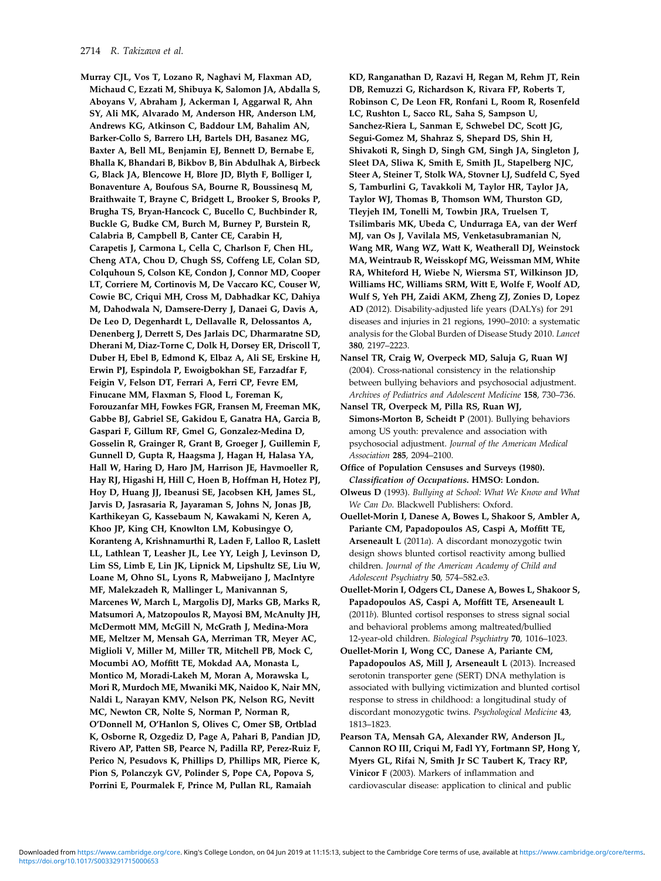<span id="page-9-0"></span>Murray CJL, Vos T, Lozano R, Naghavi M, Flaxman AD, Michaud C, Ezzati M, Shibuya K, Salomon JA, Abdalla S, Aboyans V, Abraham J, Ackerman I, Aggarwal R, Ahn SY, Ali MK, Alvarado M, Anderson HR, Anderson LM, Andrews KG, Atkinson C, Baddour LM, Bahalim AN, Barker-Collo S, Barrero LH, Bartels DH, Basanez MG, Baxter A, Bell ML, Benjamin EJ, Bennett D, Bernabe E, Bhalla K, Bhandari B, Bikbov B, Bin Abdulhak A, Birbeck G, Black JA, Blencowe H, Blore JD, Blyth F, Bolliger I, Bonaventure A, Boufous SA, Bourne R, Boussinesq M, Braithwaite T, Brayne C, Bridgett L, Brooker S, Brooks P, Brugha TS, Bryan-Hancock C, Bucello C, Buchbinder R, Buckle G, Budke CM, Burch M, Burney P, Burstein R, Calabria B, Campbell B, Canter CE, Carabin H, Carapetis J, Carmona L, Cella C, Charlson F, Chen HL, Cheng ATA, Chou D, Chugh SS, Coffeng LE, Colan SD, Colquhoun S, Colson KE, Condon J, Connor MD, Cooper LT, Corriere M, Cortinovis M, De Vaccaro KC, Couser W, Cowie BC, Criqui MH, Cross M, Dabhadkar KC, Dahiya M, Dahodwala N, Damsere-Derry J, Danaei G, Davis A, De Leo D, Degenhardt L, Dellavalle R, Delossantos A, Denenberg J, Derrett S, Des Jarlais DC, Dharmaratne SD, Dherani M, Diaz-Torne C, Dolk H, Dorsey ER, Driscoll T, Duber H, Ebel B, Edmond K, Elbaz A, Ali SE, Erskine H, Erwin PJ, Espindola P, Ewoigbokhan SE, Farzadfar F, Feigin V, Felson DT, Ferrari A, Ferri CP, Fevre EM, Finucane MM, Flaxman S, Flood L, Foreman K, Forouzanfar MH, Fowkes FGR, Fransen M, Freeman MK, Gabbe BJ, Gabriel SE, Gakidou E, Ganatra HA, Garcia B, Gaspari F, Gillum RF, Gmel G, Gonzalez-Medina D, Gosselin R, Grainger R, Grant B, Groeger J, Guillemin F, Gunnell D, Gupta R, Haagsma J, Hagan H, Halasa YA, Hall W, Haring D, Haro JM, Harrison JE, Havmoeller R, Hay RJ, Higashi H, Hill C, Hoen B, Hoffman H, Hotez PJ, Hoy D, Huang JJ, Ibeanusi SE, Jacobsen KH, James SL, Jarvis D, Jasrasaria R, Jayaraman S, Johns N, Jonas JB, Karthikeyan G, Kassebaum N, Kawakami N, Keren A, Khoo JP, King CH, Knowlton LM, Kobusingye O, Koranteng A, Krishnamurthi R, Laden F, Lalloo R, Laslett LL, Lathlean T, Leasher JL, Lee YY, Leigh J, Levinson D, Lim SS, Limb E, Lin JK, Lipnick M, Lipshultz SE, Liu W, Loane M, Ohno SL, Lyons R, Mabweijano J, MacIntyre MF, Malekzadeh R, Mallinger L, Manivannan S, Marcenes W, March L, Margolis DJ, Marks GB, Marks R, Matsumori A, Matzopoulos R, Mayosi BM, McAnulty JH, McDermott MM, McGill N, McGrath J, Medina-Mora ME, Meltzer M, Mensah GA, Merriman TR, Meyer AC, Miglioli V, Miller M, Miller TR, Mitchell PB, Mock C, Mocumbi AO, Moffitt TE, Mokdad AA, Monasta L, Montico M, Moradi-Lakeh M, Moran A, Morawska L, Mori R, Murdoch ME, Mwaniki MK, Naidoo K, Nair MN, Naldi L, Narayan KMV, Nelson PK, Nelson RG, Nevitt MC, Newton CR, Nolte S, Norman P, Norman R, O'Donnell M, O'Hanlon S, Olives C, Omer SB, Ortblad K, Osborne R, Ozgediz D, Page A, Pahari B, Pandian JD, Rivero AP, Patten SB, Pearce N, Padilla RP, Perez-Ruiz F, Perico N, Pesudovs K, Phillips D, Phillips MR, Pierce K, Pion S, Polanczyk GV, Polinder S, Pope CA, Popova S, Porrini E, Pourmalek F, Prince M, Pullan RL, Ramaiah

KD, Ranganathan D, Razavi H, Regan M, Rehm JT, Rein DB, Remuzzi G, Richardson K, Rivara FP, Roberts T, Robinson C, De Leon FR, Ronfani L, Room R, Rosenfeld LC, Rushton L, Sacco RL, Saha S, Sampson U, Sanchez-Riera L, Sanman E, Schwebel DC, Scott JG, Segui-Gomez M, Shahraz S, Shepard DS, Shin H, Shivakoti R, Singh D, Singh GM, Singh JA, Singleton J, Sleet DA, Sliwa K, Smith E, Smith JL, Stapelberg NJC, Steer A, Steiner T, Stolk WA, Stovner LJ, Sudfeld C, Syed S, Tamburlini G, Tavakkoli M, Taylor HR, Taylor JA, Taylor WJ, Thomas B, Thomson WM, Thurston GD, Tleyjeh IM, Tonelli M, Towbin JRA, Truelsen T, Tsilimbaris MK, Ubeda C, Undurraga EA, van der Werf MJ, van Os J, Vavilala MS, Venketasubramanian N, Wang MR, Wang WZ, Watt K, Weatherall DJ, Weinstock MA, Weintraub R, Weisskopf MG, Weissman MM, White RA, Whiteford H, Wiebe N, Wiersma ST, Wilkinson JD, Williams HC, Williams SRM, Witt E, Wolfe F, Woolf AD, Wulf S, Yeh PH, Zaidi AKM, Zheng ZJ, Zonies D, Lopez AD (2012). Disability-adjusted life years (DALYs) for 291 diseases and injuries in 21 regions, 1990–2010: a systematic analysis for the Global Burden of Disease Study 2010. Lancet 380, 2197–2223.

- Nansel TR, Craig W, Overpeck MD, Saluja G, Ruan WJ (2004). Cross-national consistency in the relationship between bullying behaviors and psychosocial adjustment. Archives of Pediatrics and Adolescent Medicine 158, 730–736.
- Nansel TR, Overpeck M, Pilla RS, Ruan WJ, Simons-Morton B, Scheidt P (2001). Bullying behaviors among US youth: prevalence and association with psychosocial adjustment. Journal of the American Medical Association 285, 2094–2100.
- Office of Population Censuses and Surveys (1980). Classification of Occupations. HMSO: London.
- Olweus D (1993). Bullying at School: What We Know and What We Can Do. Blackwell Publishers: Oxford.
- Ouellet-Morin I, Danese A, Bowes L, Shakoor S, Ambler A, Pariante CM, Papadopoulos AS, Caspi A, Moffitt TE, Arseneault L (2011a). A discordant monozygotic twin design shows blunted cortisol reactivity among bullied children. Journal of the American Academy of Child and Adolescent Psychiatry 50, 574–582.e3.
- Ouellet-Morin I, Odgers CL, Danese A, Bowes L, Shakoor S, Papadopoulos AS, Caspi A, Moffitt TE, Arseneault L (2011b). Blunted cortisol responses to stress signal social and behavioral problems among maltreated/bullied 12-year-old children. Biological Psychiatry 70, 1016–1023.
- Ouellet-Morin I, Wong CC, Danese A, Pariante CM, Papadopoulos AS, Mill J, Arseneault L (2013). Increased serotonin transporter gene (SERT) DNA methylation is associated with bullying victimization and blunted cortisol response to stress in childhood: a longitudinal study of discordant monozygotic twins. Psychological Medicine 43, 1813–1823.
- Pearson TA, Mensah GA, Alexander RW, Anderson JL, Cannon RO III, Criqui M, Fadl YY, Fortmann SP, Hong Y, Myers GL, Rifai N, Smith Jr SC Taubert K, Tracy RP, Vinicor F (2003). Markers of inflammation and cardiovascular disease: application to clinical and public